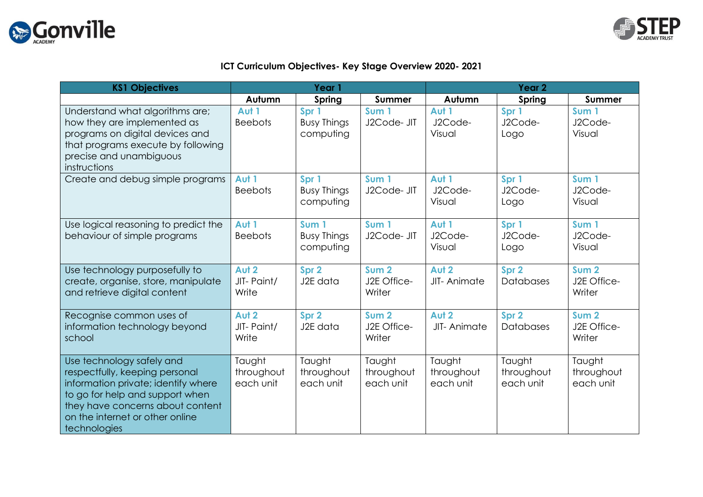



## **ICT Curriculum Objectives- Key Stage Overview 2020- 2021**

| <b>KS1 Objectives</b>                                                                                                                                                                                                        | Year 1                            |                                                     |                                           | Year <sub>2</sub>                 |                                   |                                           |
|------------------------------------------------------------------------------------------------------------------------------------------------------------------------------------------------------------------------------|-----------------------------------|-----------------------------------------------------|-------------------------------------------|-----------------------------------|-----------------------------------|-------------------------------------------|
|                                                                                                                                                                                                                              | Autumn                            | Spring                                              | <b>Summer</b>                             | Autumn                            | Spring                            | Summer                                    |
| Understand what algorithms are;<br>how they are implemented as<br>programs on digital devices and<br>that programs execute by following<br>precise and unambiguous<br>instructions                                           | Aut 1<br><b>Beebots</b>           | Spr 1<br><b>Busy Things</b><br>computing            | Sum 1<br>J2Code- JIT                      | Aut 1<br>J2Code-<br>Visual        | Spr 1<br>J2Code-<br>Logo          | Sum <sub>1</sub><br>J2Code-<br>Visual     |
| Create and debug simple programs                                                                                                                                                                                             | Aut 1<br><b>Beebots</b>           | Spr 1<br><b>Busy Things</b><br>computing            | Sum <sub>1</sub><br>J2Code- JIT           | Aut 1<br>J2Code-<br>Visual        | Spr 1<br>J2Code-<br>Logo          | Sum <sub>1</sub><br>J2Code-<br>Visual     |
| Use logical reasoning to predict the<br>behaviour of simple programs                                                                                                                                                         | Aut 1<br><b>Beebots</b>           | Sum <sub>1</sub><br><b>Busy Things</b><br>computing | Sum <sub>1</sub><br>J2Code- JIT           | Aut 1<br>J2Code-<br>Visual        | Spr 1<br>J2Code-<br>Logo          | Sum 1<br>J2Code-<br>Visual                |
| Use technology purposefully to<br>create, organise, store, manipulate<br>and retrieve digital content                                                                                                                        | Aut 2<br>JIT-Paint/<br>Write      | Spr 2<br>J2E data                                   | Sum <sub>2</sub><br>J2E Office-<br>Writer | Aut 2<br>JIT-Animate              | Spr 2<br>Databases                | Sum <sub>2</sub><br>J2E Office-<br>Writer |
| Recognise common uses of<br>information technology beyond<br>school                                                                                                                                                          | Aut 2<br>JIT-Paint/<br>Write      | Spr 2<br>J2E data                                   | Sum <sub>2</sub><br>J2E Office-<br>Writer | Aut 2<br>JIT-Animate              | Spr 2<br>Databases                | Sum <sub>2</sub><br>J2E Office-<br>Writer |
| Use technology safely and<br>respectfully, keeping personal<br>information private; identify where<br>to go for help and support when<br>they have concerns about content<br>on the internet or other online<br>technologies | Taught<br>throughout<br>each unit | Taught<br>throughout<br>each unit                   | Taught<br>throughout<br>each unit         | Taught<br>throughout<br>each unit | Taught<br>throughout<br>each unit | Taught<br>throughout<br>each unit         |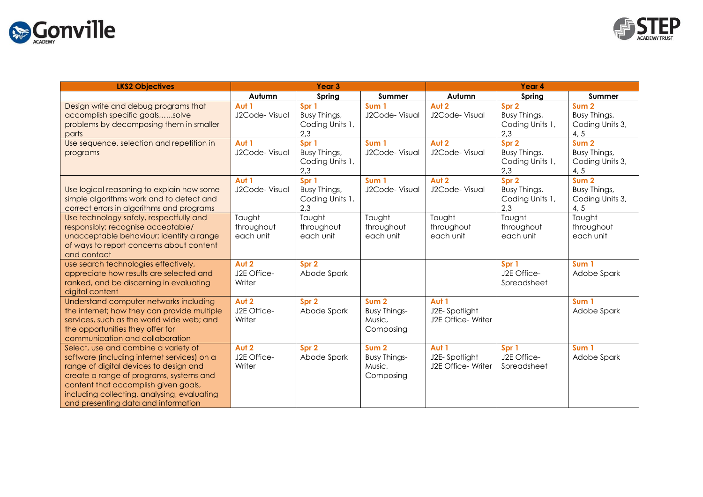



| <b>LKS2 Objectives</b>                                                                                                                                                                                                                                                                                 | Year <sub>3</sub>                 |                                                 |                                                                | Year 4                                       |                                                 |                                                             |
|--------------------------------------------------------------------------------------------------------------------------------------------------------------------------------------------------------------------------------------------------------------------------------------------------------|-----------------------------------|-------------------------------------------------|----------------------------------------------------------------|----------------------------------------------|-------------------------------------------------|-------------------------------------------------------------|
|                                                                                                                                                                                                                                                                                                        | Autumn                            | Spring                                          | Summer                                                         | Autumn                                       | Spring                                          | Summer                                                      |
| Design write and debug programs that<br>accomplish specific goals,solve<br>problems by decomposing them in smaller<br>parts                                                                                                                                                                            | Aut 1<br>J2Code-Visual            | Spr 1<br>Busy Things,<br>Coding Units 1,<br>2,3 | Sum <sub>1</sub><br>J2Code-Visual                              | Aut 2<br>J2Code- Visual                      | Spr 2<br>Busy Things,<br>Coding Units 1,<br>2,3 | Sum <sub>2</sub><br>Busy Things,<br>Coding Units 3,<br>4, 5 |
| Use sequence, selection and repetition in<br>programs                                                                                                                                                                                                                                                  | Aut 1<br>J2Code-Visual            | Spr 1<br>Busy Things,<br>Coding Units 1,<br>2,3 | Sum 1<br>J2Code-Visual                                         | Aut 2<br>J2Code-Visual                       | Spr 2<br>Busy Things,<br>Coding Units 1,<br>2,3 | Sum <sub>2</sub><br>Busy Things,<br>Coding Units 3,<br>4, 5 |
| Use logical reasoning to explain how some<br>simple algorithms work and to detect and<br>correct errors in algorithms and programs                                                                                                                                                                     | Aut 1<br>J2Code-Visual            | Spr 1<br>Busy Things,<br>Coding Units 1,<br>2,3 | Sum <sub>1</sub><br>J2Code-Visual                              | Aut 2<br>J2Code-Visual                       | Spr 2<br>Busy Things,<br>Coding Units 1,<br>2,3 | Sum <sub>2</sub><br>Busy Things,<br>Coding Units 3,<br>4, 5 |
| Use technology safely, respectfully and<br>responsibly; recognise acceptable/<br>unacceptable behaviour; identify a range<br>of ways to report concerns about content<br>and contact                                                                                                                   | Taught<br>throughout<br>each unit | Taught<br>throughout<br>each unit               | Taught<br>throughout<br>each unit                              | Taught<br>throughout<br>each unit            | Taught<br>throughout<br>each unit               | Taught<br>throughout<br>each unit                           |
| use search technologies effectively,<br>appreciate how results are selected and<br>ranked, and be discerning in evaluating<br>digital content                                                                                                                                                          | Aut 2<br>J2E Office-<br>Writer    | Spr 2<br>Abode Spark                            |                                                                |                                              | Spr 1<br>J2E Office-<br>Spreadsheet             | Sum 1<br>Adobe Spark                                        |
| Understand computer networks including<br>the internet; how they can provide multiple<br>services, such as the world wide web; and<br>the opportunities they offer for<br>communication and collaboration                                                                                              | Aut 2<br>J2E Office-<br>Writer    | Spr 2<br>Abode Spark                            | Sum <sub>2</sub><br>Busy Things-<br>Music,<br>Composing        | Aut 1<br>J2E-Spotlight<br>J2E Office- Writer |                                                 | Sum <sub>1</sub><br>Adobe Spark                             |
| Select, use and combine a variety of<br>software (including internet services) on a<br>range of digital devices to design and<br>create a range of programs, systems and<br>content that accomplish given goals,<br>including collecting, analysing, evaluating<br>and presenting data and information | Aut 2<br>J2E Office-<br>Writer    | Spr 2<br>Abode Spark                            | Sum <sub>2</sub><br><b>Busy Things-</b><br>Music,<br>Composing | Aut 1<br>J2E-Spotlight<br>J2E Office- Writer | Spr 1<br>J2E Office-<br>Spreadsheet             | Sum 1<br>Adobe Spark                                        |